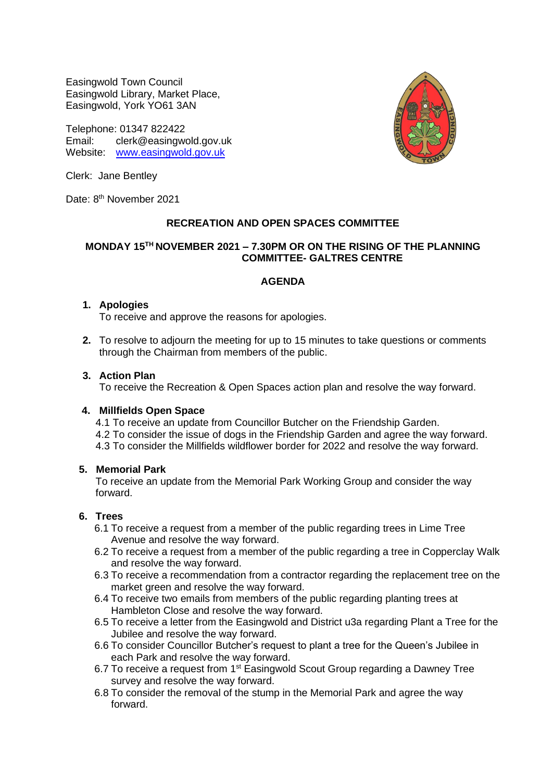Easingwold Town Council Easingwold Library, Market Place, Easingwold, York YO61 3AN

Telephone: 01347 822422 Email: clerk@easingwold.gov.uk Website: [www.easingwold.gov.uk](http://www.easingwold.gov.uk/)



Clerk: Jane Bentley

Date: 8<sup>th</sup> November 2021

# **RECREATION AND OPEN SPACES COMMITTEE**

## **MONDAY 15 TH NOVEMBER 2021 – 7.30PM OR ON THE RISING OF THE PLANNING COMMITTEE- GALTRES CENTRE**

## **AGENDA**

#### **1. Apologies**

To receive and approve the reasons for apologies.

**2.** To resolve to adjourn the meeting for up to 15 minutes to take questions or comments through the Chairman from members of the public.

### **3. Action Plan**

To receive the Recreation & Open Spaces action plan and resolve the way forward.

### **4. Millfields Open Space**

4.1 To receive an update from Councillor Butcher on the Friendship Garden. 4.2 To consider the issue of dogs in the Friendship Garden and agree the way forward. 4.3 To consider the Millfields wildflower border for 2022 and resolve the way forward.

### **5. Memorial Park**

To receive an update from the Memorial Park Working Group and consider the way forward.

### **6. Trees**

- 6.1 To receive a request from a member of the public regarding trees in Lime Tree Avenue and resolve the way forward.
- 6.2 To receive a request from a member of the public regarding a tree in Copperclay Walk and resolve the way forward.
- 6.3 To receive a recommendation from a contractor regarding the replacement tree on the market green and resolve the way forward.
- 6.4 To receive two emails from members of the public regarding planting trees at Hambleton Close and resolve the way forward.
- 6.5 To receive a letter from the Easingwold and District u3a regarding Plant a Tree for the Jubilee and resolve the way forward.
- 6.6 To consider Councillor Butcher's request to plant a tree for the Queen's Jubilee in each Park and resolve the way forward.
- 6.7 To receive a request from 1<sup>st</sup> Easingwold Scout Group regarding a Dawney Tree survey and resolve the way forward.
- 6.8 To consider the removal of the stump in the Memorial Park and agree the way forward.